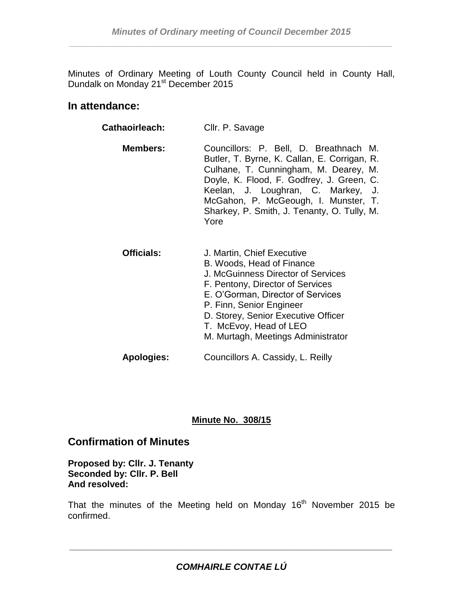Minutes of Ordinary Meeting of Louth County Council held in County Hall, Dundalk on Monday 21<sup>st</sup> December 2015

# **In attendance:**

| Cathaoirleach:    | Cllr. P. Savage                                                                                                                                                                                                                                                                                                   |
|-------------------|-------------------------------------------------------------------------------------------------------------------------------------------------------------------------------------------------------------------------------------------------------------------------------------------------------------------|
| <b>Members:</b>   | Councillors: P. Bell, D. Breathnach M.<br>Butler, T. Byrne, K. Callan, E. Corrigan, R.<br>Culhane, T. Cunningham, M. Dearey, M.<br>Doyle, K. Flood, F. Godfrey, J. Green, C.<br>Keelan, J. Loughran, C. Markey, J.<br>McGahon, P. McGeough, I. Munster, T.<br>Sharkey, P. Smith, J. Tenanty, O. Tully, M.<br>Yore |
| <b>Officials:</b> | J. Martin, Chief Executive<br>B. Woods, Head of Finance<br>J. McGuinness Director of Services<br>F. Pentony, Director of Services<br>E. O'Gorman, Director of Services<br>P. Finn, Senior Engineer<br>D. Storey, Senior Executive Officer<br>T. McEvoy, Head of LEO<br>M. Murtagh, Meetings Administrator         |
| <b>Apologies:</b> | Councillors A. Cassidy, L. Reilly                                                                                                                                                                                                                                                                                 |

### **Minute No. 308/15**

### **Confirmation of Minutes**

**Proposed by: Cllr. J. Tenanty Seconded by: Cllr. P. Bell And resolved:**

That the minutes of the Meeting held on Monday  $16<sup>th</sup>$  November 2015 be confirmed.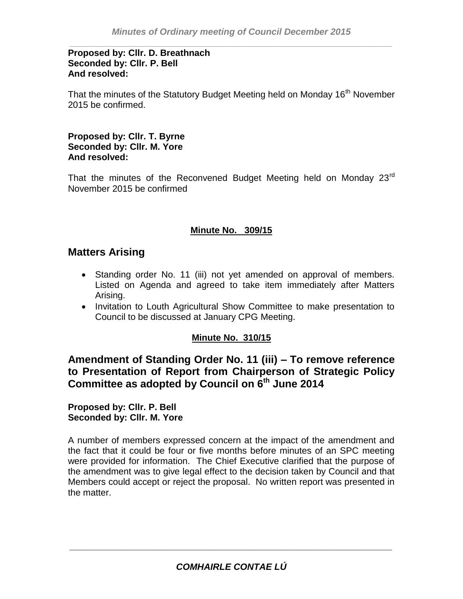#### **Proposed by: Cllr. D. Breathnach Seconded by: Cllr. P. Bell And resolved:**

That the minutes of the Statutory Budget Meeting held on Monday 16<sup>th</sup> November 2015 be confirmed.

#### **Proposed by: Cllr. T. Byrne Seconded by: Cllr. M. Yore And resolved:**

That the minutes of the Reconvened Budget Meeting held on Monday 23<sup>rd</sup> November 2015 be confirmed

### **Minute No. 309/15**

# **Matters Arising**

- Standing order No. 11 (iii) not yet amended on approval of members. Listed on Agenda and agreed to take item immediately after Matters Arising.
- Invitation to Louth Agricultural Show Committee to make presentation to Council to be discussed at January CPG Meeting.

#### **Minute No. 310/15**

**Amendment of Standing Order No. 11 (iii) – To remove reference to Presentation of Report from Chairperson of Strategic Policy Committee as adopted by Council on 6th June 2014**

**Proposed by: Cllr. P. Bell Seconded by: Cllr. M. Yore**

A number of members expressed concern at the impact of the amendment and the fact that it could be four or five months before minutes of an SPC meeting were provided for information. The Chief Executive clarified that the purpose of the amendment was to give legal effect to the decision taken by Council and that Members could accept or reject the proposal. No written report was presented in the matter.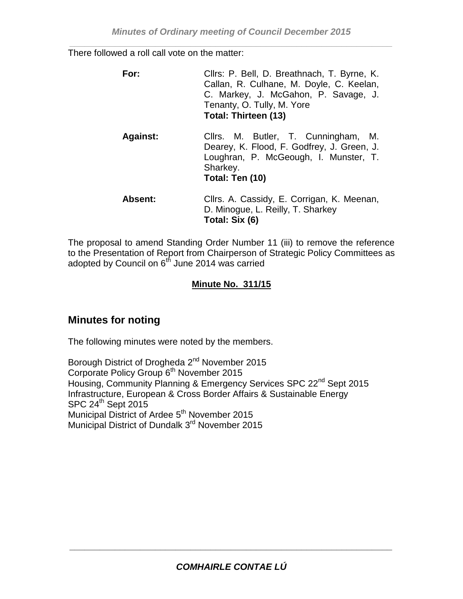There followed a roll call vote on the matter:

| For:            | Cllrs: P. Bell, D. Breathnach, T. Byrne, K.<br>Callan, R. Culhane, M. Doyle, C. Keelan,<br>C. Markey, J. McGahon, P. Savage, J.<br>Tenanty, O. Tully, M. Yore<br><b>Total: Thirteen (13)</b> |
|-----------------|----------------------------------------------------------------------------------------------------------------------------------------------------------------------------------------------|
| <b>Against:</b> | Cllrs. M. Butler, T. Cunningham, M.<br>Dearey, K. Flood, F. Godfrey, J. Green, J.<br>Loughran, P. McGeough, I. Munster, T.<br>Sharkey.<br>Total: Ten (10)                                    |
| <b>Absent:</b>  | Cllrs. A. Cassidy, E. Corrigan, K. Meenan,<br>D. Minogue, L. Reilly, T. Sharkey<br>Total: Six (6)                                                                                            |

The proposal to amend Standing Order Number 11 (iii) to remove the reference to the Presentation of Report from Chairperson of Strategic Policy Committees as adopted by Council on  $6<sup>th</sup>$  June 2014 was carried

# **Minute No. 311/15**

# **Minutes for noting**

The following minutes were noted by the members.

Borough District of Drogheda 2<sup>nd</sup> November 2015 Corporate Policy Group 6<sup>th</sup> November 2015 Housing, Community Planning & Emergency Services SPC 22<sup>nd</sup> Sept 2015 Infrastructure, European & Cross Border Affairs & Sustainable Energy  $SPC 24<sup>th</sup>$  Sept 2015 Municipal District of Ardee 5<sup>th</sup> November 2015 Municipal District of Dundalk 3<sup>rd</sup> November 2015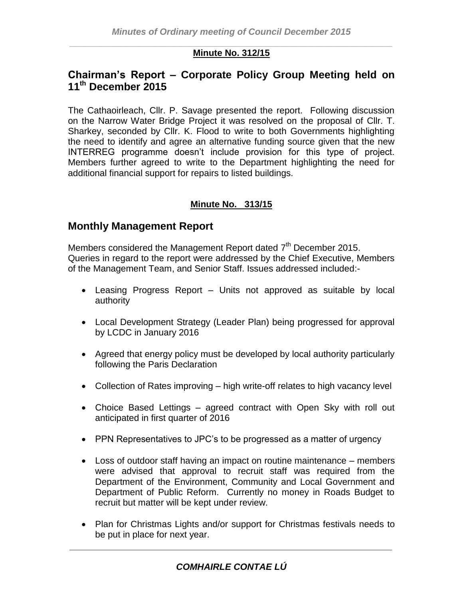#### *\_\_\_\_\_\_\_\_\_\_\_\_\_\_\_\_\_\_\_\_\_\_\_\_\_\_\_\_\_\_\_\_\_\_\_\_\_\_\_\_\_\_\_\_\_\_\_\_\_\_\_\_\_\_\_\_\_\_\_\_\_\_\_\_* **Minute No. 312/15**

# **Chairman's Report – Corporate Policy Group Meeting held on 11th December 2015**

The Cathaoirleach, Cllr. P. Savage presented the report. Following discussion on the Narrow Water Bridge Project it was resolved on the proposal of Cllr. T. Sharkey, seconded by Cllr. K. Flood to write to both Governments highlighting the need to identify and agree an alternative funding source given that the new INTERREG programme doesn't include provision for this type of project. Members further agreed to write to the Department highlighting the need for additional financial support for repairs to listed buildings.

### **Minute No. 313/15**

# **Monthly Management Report**

Members considered the Management Report dated  $7<sup>th</sup>$  December 2015. Queries in regard to the report were addressed by the Chief Executive, Members of the Management Team, and Senior Staff. Issues addressed included:-

- Leasing Progress Report Units not approved as suitable by local authority
- Local Development Strategy (Leader Plan) being progressed for approval by LCDC in January 2016
- Agreed that energy policy must be developed by local authority particularly following the Paris Declaration
- Collection of Rates improving high write-off relates to high vacancy level
- Choice Based Lettings agreed contract with Open Sky with roll out anticipated in first quarter of 2016
- PPN Representatives to JPC's to be progressed as a matter of urgency
- Loss of outdoor staff having an impact on routine maintenance members were advised that approval to recruit staff was required from the Department of the Environment, Community and Local Government and Department of Public Reform. Currently no money in Roads Budget to recruit but matter will be kept under review.
- Plan for Christmas Lights and/or support for Christmas festivals needs to be put in place for next year.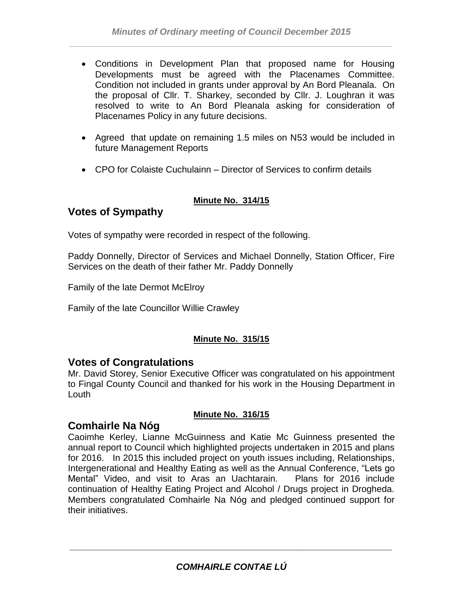- Conditions in Development Plan that proposed name for Housing Developments must be agreed with the Placenames Committee. Condition not included in grants under approval by An Bord Pleanala. On the proposal of Cllr. T. Sharkey, seconded by Cllr. J. Loughran it was resolved to write to An Bord Pleanala asking for consideration of Placenames Policy in any future decisions.
- Agreed that update on remaining 1.5 miles on N53 would be included in future Management Reports
- CPO for Colaiste Cuchulainn Director of Services to confirm details

### **Minute No. 314/15**

# **Votes of Sympathy**

Votes of sympathy were recorded in respect of the following.

Paddy Donnelly, Director of Services and Michael Donnelly, Station Officer, Fire Services on the death of their father Mr. Paddy Donnelly

Family of the late Dermot McElroy

Family of the late Councillor Willie Crawley

### **Minute No. 315/15**

### **Votes of Congratulations**

Mr. David Storey, Senior Executive Officer was congratulated on his appointment to Fingal County Council and thanked for his work in the Housing Department in Louth

### **Minute No. 316/15**

# **Comhairle Na Nóg**

Caoimhe Kerley, Lianne McGuinness and Katie Mc Guinness presented the annual report to Council which highlighted projects undertaken in 2015 and plans for 2016. In 2015 this included project on youth issues including, Relationships, Intergenerational and Healthy Eating as well as the Annual Conference, "Lets go Mental" Video, and visit to Aras an Uachtarain. Plans for 2016 include continuation of Healthy Eating Project and Alcohol / Drugs project in Drogheda. Members congratulated Comhairle Na Nóg and pledged continued support for their initiatives.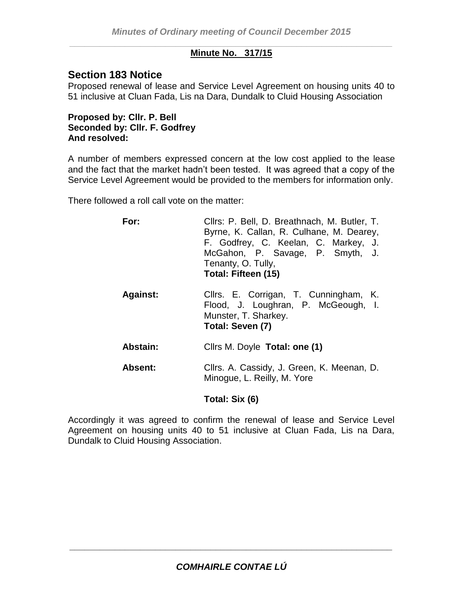#### *\_\_\_\_\_\_\_\_\_\_\_\_\_\_\_\_\_\_\_\_\_\_\_\_\_\_\_\_\_\_\_\_\_\_\_\_\_\_\_\_\_\_\_\_\_\_\_\_\_\_\_\_\_\_\_\_\_\_\_\_\_\_\_\_* **Minute No. 317/15**

# **Section 183 Notice**

Proposed renewal of lease and Service Level Agreement on housing units 40 to 51 inclusive at Cluan Fada, Lis na Dara, Dundalk to Cluid Housing Association

**Proposed by: Cllr. P. Bell Seconded by: Cllr. F. Godfrey And resolved:**

A number of members expressed concern at the low cost applied to the lease and the fact that the market hadn't been tested. It was agreed that a copy of the Service Level Agreement would be provided to the members for information only.

There followed a roll call vote on the matter:

| For:            | Cllrs: P. Bell, D. Breathnach, M. Butler, T.<br>Byrne, K. Callan, R. Culhane, M. Dearey,<br>F. Godfrey, C. Keelan, C. Markey, J.<br>McGahon, P. Savage, P. Smyth, J.<br>Tenanty, O. Tully,<br>Total: Fifteen (15) |
|-----------------|-------------------------------------------------------------------------------------------------------------------------------------------------------------------------------------------------------------------|
| <b>Against:</b> | Cllrs. E. Corrigan, T. Cunningham, K.<br>Flood, J. Loughran, P. McGeough, I.<br>Munster, T. Sharkey.<br>Total: Seven (7)                                                                                          |
| Abstain:        | Cllrs M. Doyle Total: one (1)                                                                                                                                                                                     |
| <b>Absent:</b>  | Cllrs. A. Cassidy, J. Green, K. Meenan, D.<br>Minogue, L. Reilly, M. Yore                                                                                                                                         |

#### **Total: Six (6)**

Accordingly it was agreed to confirm the renewal of lease and Service Level Agreement on housing units 40 to 51 inclusive at Cluan Fada, Lis na Dara, Dundalk to Cluid Housing Association.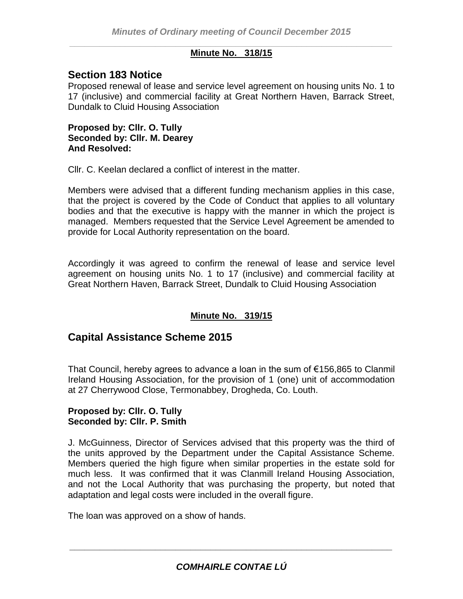#### *\_\_\_\_\_\_\_\_\_\_\_\_\_\_\_\_\_\_\_\_\_\_\_\_\_\_\_\_\_\_\_\_\_\_\_\_\_\_\_\_\_\_\_\_\_\_\_\_\_\_\_\_\_\_\_\_\_\_\_\_\_\_\_\_* **Minute No. 318/15**

# **Section 183 Notice**

Proposed renewal of lease and service level agreement on housing units No. 1 to 17 (inclusive) and commercial facility at Great Northern Haven, Barrack Street, Dundalk to Cluid Housing Association

**Proposed by: Cllr. O. Tully Seconded by: Cllr. M. Dearey And Resolved:**

Cllr. C. Keelan declared a conflict of interest in the matter.

Members were advised that a different funding mechanism applies in this case, that the project is covered by the Code of Conduct that applies to all voluntary bodies and that the executive is happy with the manner in which the project is managed. Members requested that the Service Level Agreement be amended to provide for Local Authority representation on the board.

Accordingly it was agreed to confirm the renewal of lease and service level agreement on housing units No. 1 to 17 (inclusive) and commercial facility at Great Northern Haven, Barrack Street, Dundalk to Cluid Housing Association

### **Minute No. 319/15**

# **Capital Assistance Scheme 2015**

That Council, hereby agrees to advance a loan in the sum of €156,865 to Clanmil Ireland Housing Association, for the provision of 1 (one) unit of accommodation at 27 Cherrywood Close, Termonabbey, Drogheda, Co. Louth.

#### **Proposed by: Cllr. O. Tully Seconded by: Cllr. P. Smith**

J. McGuinness, Director of Services advised that this property was the third of the units approved by the Department under the Capital Assistance Scheme. Members queried the high figure when similar properties in the estate sold for much less. It was confirmed that it was Clanmill Ireland Housing Association, and not the Local Authority that was purchasing the property, but noted that adaptation and legal costs were included in the overall figure.

The loan was approved on a show of hands.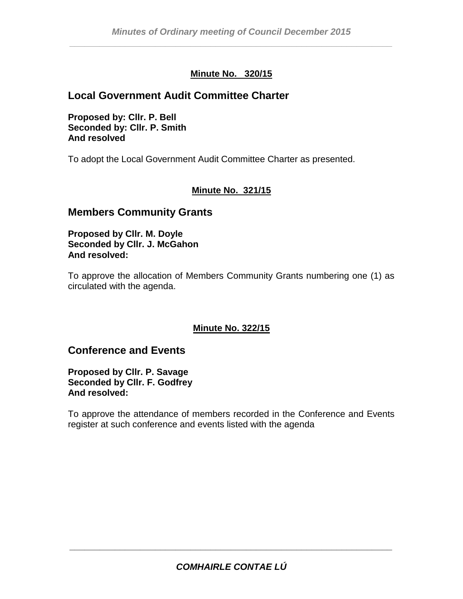# **Minute No. 320/15**

# **Local Government Audit Committee Charter**

**Proposed by: Cllr. P. Bell Seconded by: Cllr. P. Smith And resolved**

To adopt the Local Government Audit Committee Charter as presented.

# **Minute No. 321/15**

# **Members Community Grants**

**Proposed by Cllr. M. Doyle Seconded by Cllr. J. McGahon And resolved:** 

To approve the allocation of Members Community Grants numbering one (1) as circulated with the agenda.

#### **Minute No. 322/15**

# **Conference and Events**

**Proposed by Cllr. P. Savage Seconded by Cllr. F. Godfrey And resolved:** 

To approve the attendance of members recorded in the Conference and Events register at such conference and events listed with the agenda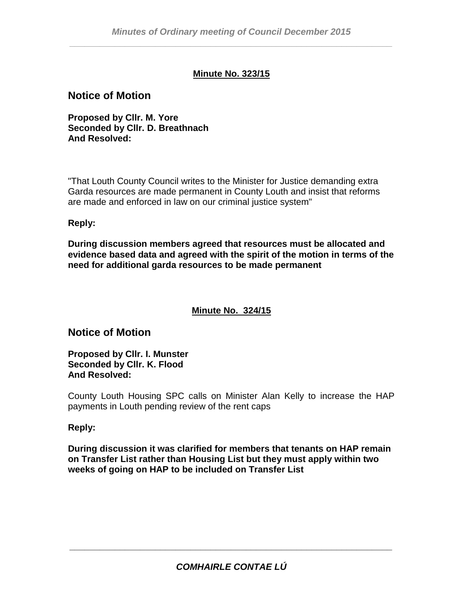### **Minute No. 323/15**

### **Notice of Motion**

**Proposed by Cllr. M. Yore Seconded by Cllr. D. Breathnach And Resolved:**

"That Louth County Council writes to the Minister for Justice demanding extra Garda resources are made permanent in County Louth and insist that reforms are made and enforced in law on our criminal justice system"

#### **Reply:**

**During discussion members agreed that resources must be allocated and evidence based data and agreed with the spirit of the motion in terms of the need for additional garda resources to be made permanent**

### **Minute No. 324/15**

# **Notice of Motion**

**Proposed by Cllr. I. Munster Seconded by Cllr. K. Flood And Resolved:**

County Louth Housing SPC calls on Minister Alan Kelly to increase the HAP payments in Louth pending review of the rent caps

#### **Reply:**

**During discussion it was clarified for members that tenants on HAP remain on Transfer List rather than Housing List but they must apply within two weeks of going on HAP to be included on Transfer List**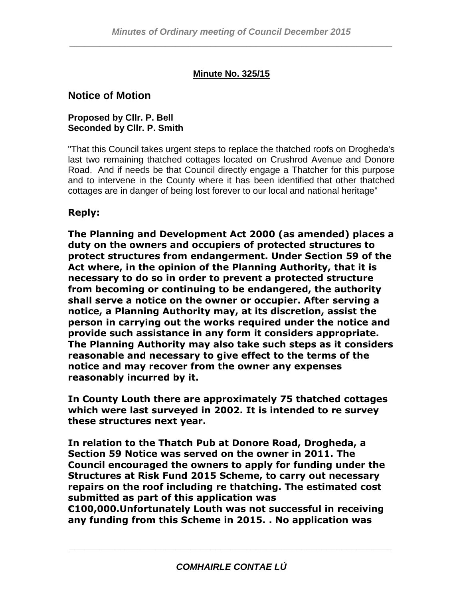# **Minute No. 325/15**

# **Notice of Motion**

#### **Proposed by Cllr. P. Bell Seconded by Cllr. P. Smith**

"That this Council takes urgent steps to replace the thatched roofs on Drogheda's last two remaining thatched cottages located on Crushrod Avenue and Donore Road. And if needs be that Council directly engage a Thatcher for this purpose and to intervene in the County where it has been identified that other thatched cottages are in danger of being lost forever to our local and national heritage"

# **Reply:**

**The Planning and Development Act 2000 (as amended) places a duty on the owners and occupiers of protected structures to protect structures from endangerment. Under Section 59 of the Act where, in the opinion of the Planning Authority, that it is necessary to do so in order to prevent a protected structure from becoming or continuing to be endangered, the authority shall serve a notice on the owner or occupier. After serving a notice, a Planning Authority may, at its discretion, assist the person in carrying out the works required under the notice and provide such assistance in any form it considers appropriate. The Planning Authority may also take such steps as it considers reasonable and necessary to give effect to the terms of the notice and may recover from the owner any expenses reasonably incurred by it.**

**In County Louth there are approximately 75 thatched cottages which were last surveyed in 2002. It is intended to re survey these structures next year.** 

**In relation to the Thatch Pub at Donore Road, Drogheda, a Section 59 Notice was served on the owner in 2011. The Council encouraged the owners to apply for funding under the Structures at Risk Fund 2015 Scheme, to carry out necessary repairs on the roof including re thatching. The estimated cost submitted as part of this application was** 

**€100,000.Unfortunately Louth was not successful in receiving any funding from this Scheme in 2015. . No application was**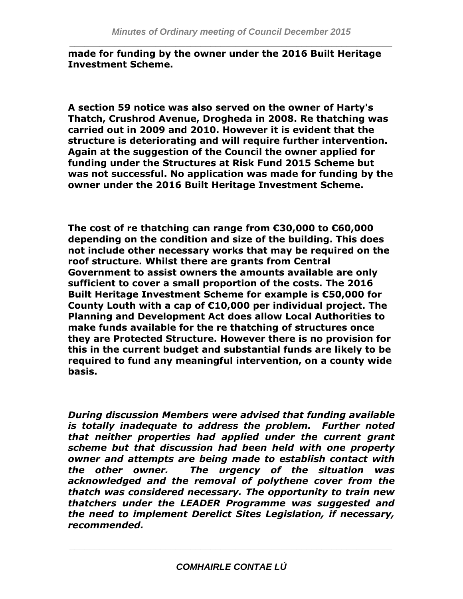**made for funding by the owner under the 2016 Built Heritage Investment Scheme.** 

**A section 59 notice was also served on the owner of Harty's Thatch, Crushrod Avenue, Drogheda in 2008. Re thatching was carried out in 2009 and 2010. However it is evident that the structure is deteriorating and will require further intervention. Again at the suggestion of the Council the owner applied for funding under the Structures at Risk Fund 2015 Scheme but was not successful. No application was made for funding by the owner under the 2016 Built Heritage Investment Scheme.** 

**The cost of re thatching can range from €30,000 to €60,000 depending on the condition and size of the building. This does not include other necessary works that may be required on the roof structure. Whilst there are grants from Central Government to assist owners the amounts available are only sufficient to cover a small proportion of the costs. The 2016 Built Heritage Investment Scheme for example is €50,000 for County Louth with a cap of €10,000 per individual project. The Planning and Development Act does allow Local Authorities to make funds available for the re thatching of structures once they are Protected Structure. However there is no provision for this in the current budget and substantial funds are likely to be required to fund any meaningful intervention, on a county wide basis.**

*During discussion Members were advised that funding available is totally inadequate to address the problem. Further noted that neither properties had applied under the current grant scheme but that discussion had been held with one property owner and attempts are being made to establish contact with the other owner. The urgency of the situation was acknowledged and the removal of polythene cover from the thatch was considered necessary. The opportunity to train new thatchers under the LEADER Programme was suggested and the need to implement Derelict Sites Legislation, if necessary, recommended.*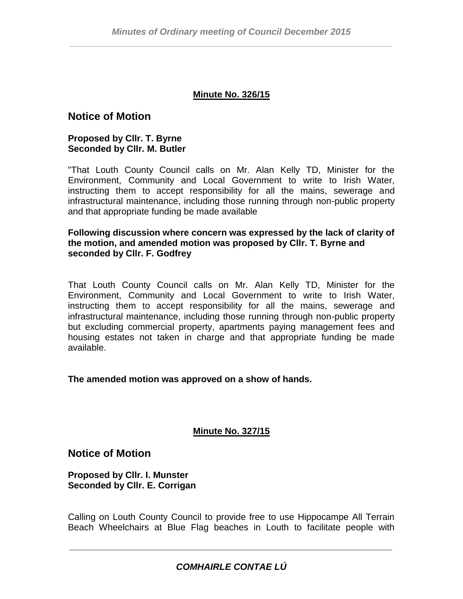#### **Minute No. 326/15**

# **Notice of Motion**

#### **Proposed by Cllr. T. Byrne Seconded by Cllr. M. Butler**

"That Louth County Council calls on Mr. Alan Kelly TD, Minister for the Environment, Community and Local Government to write to Irish Water, instructing them to accept responsibility for all the mains, sewerage and infrastructural maintenance, including those running through non-public property and that appropriate funding be made available

#### **Following discussion where concern was expressed by the lack of clarity of the motion, and amended motion was proposed by Cllr. T. Byrne and seconded by Cllr. F. Godfrey**

That Louth County Council calls on Mr. Alan Kelly TD, Minister for the Environment, Community and Local Government to write to Irish Water, instructing them to accept responsibility for all the mains, sewerage and infrastructural maintenance, including those running through non-public property but excluding commercial property, apartments paying management fees and housing estates not taken in charge and that appropriate funding be made available.

#### **The amended motion was approved on a show of hands.**

#### **Minute No. 327/15**

### **Notice of Motion**

**Proposed by Cllr. I. Munster Seconded by Cllr. E. Corrigan**

Calling on Louth County Council to provide free to use Hippocampe All Terrain Beach Wheelchairs at Blue Flag beaches in Louth to facilitate people with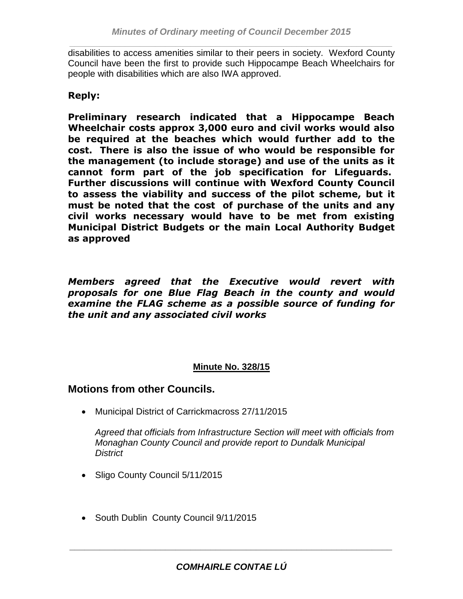disabilities to access amenities similar to their peers in society. Wexford County Council have been the first to provide such Hippocampe Beach Wheelchairs for people with disabilities which are also IWA approved.

# **Reply:**

**Preliminary research indicated that a Hippocampe Beach Wheelchair costs approx 3,000 euro and civil works would also be required at the beaches which would further add to the cost. There is also the issue of who would be responsible for the management (to include storage) and use of the units as it cannot form part of the job specification for Lifeguards. Further discussions will continue with Wexford County Council to assess the viability and success of the pilot scheme, but it must be noted that the cost of purchase of the units and any civil works necessary would have to be met from existing Municipal District Budgets or the main Local Authority Budget as approved**

*Members agreed that the Executive would revert with proposals for one Blue Flag Beach in the county and would examine the FLAG scheme as a possible source of funding for the unit and any associated civil works*

### **Minute No. 328/15**

**Motions from other Councils.**

Municipal District of Carrickmacross 27/11/2015

*Agreed that officials from Infrastructure Section will meet with officials from Monaghan County Council and provide report to Dundalk Municipal District*

- Sligo County Council 5/11/2015
- South Dublin County Council 9/11/2015